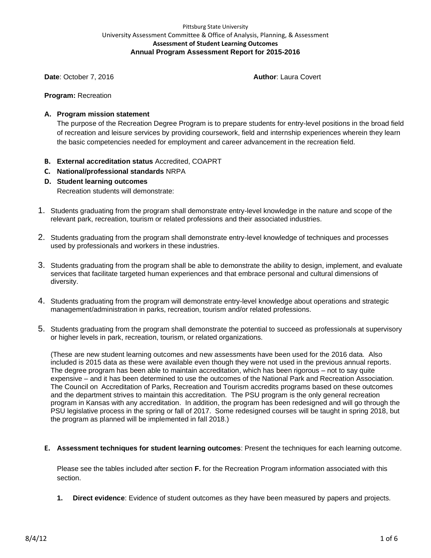### Pittsburg State University University Assessment Committee & Office of Analysis, Planning, & Assessment **Assessment of Student Learning Outcomes Annual Program Assessment Report for 2015-2016**

**Date**: October 7, 2016 **Author**: Laura Covert

**Program:** Recreation

# **A. Program mission statement**

The purpose of the Recreation Degree Program is to prepare students for entry-level positions in the broad field of recreation and leisure services by providing coursework, field and internship experiences wherein they learn the basic competencies needed for employment and career advancement in the recreation field.

- **B. External accreditation status** Accredited, COAPRT
- **C. National/professional standards** NRPA
- **D. Student learning outcomes**

Recreation students will demonstrate:

- 1. Students graduating from the program shall demonstrate entry-level knowledge in the nature and scope of the relevant park, recreation, tourism or related professions and their associated industries.
- 2. Students graduating from the program shall demonstrate entry-level knowledge of techniques and processes used by professionals and workers in these industries.
- 3. Students graduating from the program shall be able to demonstrate the ability to design, implement, and evaluate services that facilitate targeted human experiences and that embrace personal and cultural dimensions of diversity.
- 4. Students graduating from the program will demonstrate entry-level knowledge about operations and strategic management/administration in parks, recreation, tourism and/or related professions.
- 5. Students graduating from the program shall demonstrate the potential to succeed as professionals at supervisory or higher levels in park, recreation, tourism, or related organizations.

(These are new student learning outcomes and new assessments have been used for the 2016 data. Also included is 2015 data as these were available even though they were not used in the previous annual reports. The degree program has been able to maintain accreditation, which has been rigorous – not to say quite expensive – and it has been determined to use the outcomes of the National Park and Recreation Association. The Council on Accreditation of Parks, Recreation and Tourism accredits programs based on these outcomes and the department strives to maintain this accreditation. The PSU program is the only general recreation program in Kansas with any accreditation. In addition, the program has been redesigned and will go through the PSU legislative process in the spring or fall of 2017. Some redesigned courses will be taught in spring 2018, but the program as planned will be implemented in fall 2018.)

**E. Assessment techniques for student learning outcomes**: Present the techniques for each learning outcome.

Please see the tables included after section **F.** for the Recreation Program information associated with this section.

**1. Direct evidence**: Evidence of student outcomes as they have been measured by papers and projects.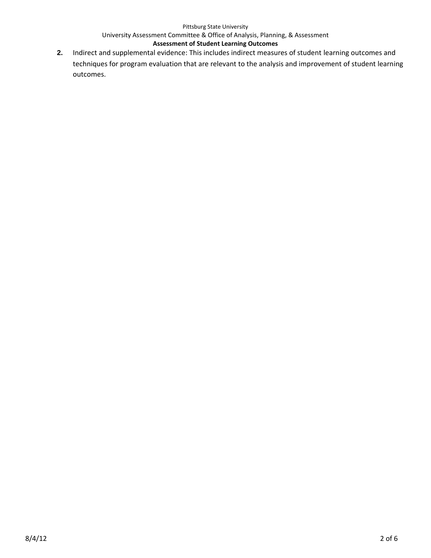#### Pittsburg State University

# University Assessment Committee & Office of Analysis, Planning, & Assessment

# **Assessment of Student Learning Outcomes**

**2.** Indirect and supplemental evidence: This includes indirect measures of student learning outcomes and techniques for program evaluation that are relevant to the analysis and improvement of student learning outcomes.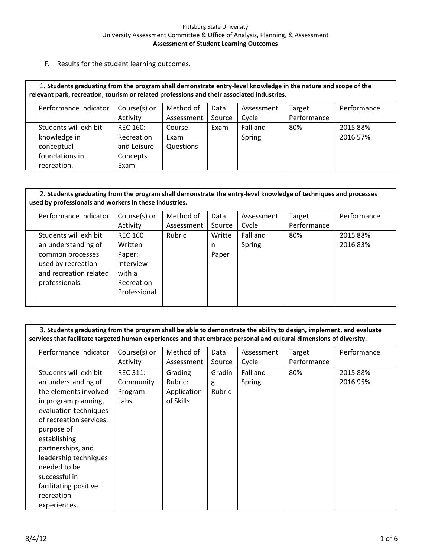#### Pittsburg State University University Assessment Committee & Office of Analysis, Planning, & Assessment **Assessment of Student Learning Outcomes**

**F.** Results for the student learning outcomes.

| 1. Students graduating from the program shall demonstrate entry-level knowledge in the nature and scope of the<br>relevant park, recreation, tourism or related professions and their associated industries. |                                                                                                   |             |            |        |          |             |          |  |  |  |
|--------------------------------------------------------------------------------------------------------------------------------------------------------------------------------------------------------------|---------------------------------------------------------------------------------------------------|-------------|------------|--------|----------|-------------|----------|--|--|--|
|                                                                                                                                                                                                              | Course(s) or<br>Performance<br>Performance Indicator<br>Method of<br>Data<br>Target<br>Assessment |             |            |        |          |             |          |  |  |  |
|                                                                                                                                                                                                              |                                                                                                   | Activity    | Assessment | Source | Cycle    | Performance |          |  |  |  |
|                                                                                                                                                                                                              | Students will exhibit                                                                             | REC 160:    | Course     | Exam   | Fall and | 80%         | 2015 88% |  |  |  |
|                                                                                                                                                                                                              | knowledge in                                                                                      | Recreation  | Exam       |        | Spring   |             | 2016 57% |  |  |  |
|                                                                                                                                                                                                              | conceptual                                                                                        | and Leisure | Questions  |        |          |             |          |  |  |  |
|                                                                                                                                                                                                              | foundations in                                                                                    | Concepts    |            |        |          |             |          |  |  |  |
|                                                                                                                                                                                                              | recreation.                                                                                       | Exam        |            |        |          |             |          |  |  |  |

# 2. **Students graduating from the program shall demonstrate the entry-level knowledge of techniques and processes used by professionals and workers in these industries.**

| Performance Indicator  | Course(s) or   | Method of  | Data   | Assessment | Target      | Performance |
|------------------------|----------------|------------|--------|------------|-------------|-------------|
|                        | Activity       | Assessment | Source | Cycle      | Performance |             |
| Students will exhibit  | <b>REC 160</b> | Rubric     | Writte | Fall and   | 80%         | 2015 88%    |
| an understanding of    | Written        |            | n      | Spring     |             | 2016 83%    |
| common processes       | Paper:         |            | Paper  |            |             |             |
| used by recreation     | Interview      |            |        |            |             |             |
| and recreation related | with a         |            |        |            |             |             |
| professionals.         | Recreation     |            |        |            |             |             |
|                        | Professional   |            |        |            |             |             |
|                        |                |            |        |            |             |             |

 3. **Students graduating from the program shall be able to demonstrate the ability to design, implement, and evaluate services that facilitate targeted human experiences and that embrace personal and cultural dimensions of diversity.**

| Performance Indicator                                                                                                                                                                                                                                                                                                 | Course(s) or<br>Activity                        | Method of<br>Assessment                        | Data<br>Source        | Assessment<br>Cycle | Target<br>Performance | Performance          |
|-----------------------------------------------------------------------------------------------------------------------------------------------------------------------------------------------------------------------------------------------------------------------------------------------------------------------|-------------------------------------------------|------------------------------------------------|-----------------------|---------------------|-----------------------|----------------------|
| Students will exhibit<br>an understanding of<br>the elements involved<br>in program planning,<br>evaluation techniques<br>of recreation services,<br>purpose of<br>establishing<br>partnerships, and<br>leadership techniques<br>needed to be<br>successful in<br>facilitating positive<br>recreation<br>experiences. | <b>REC 311:</b><br>Community<br>Program<br>Labs | Grading<br>Rubric:<br>Application<br>of Skills | Gradin<br>g<br>Rubric | Fall and<br>Spring  | 80%                   | 2015 88%<br>2016 95% |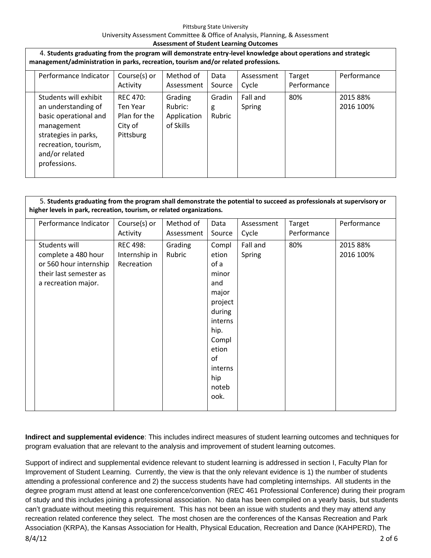#### **Assessment of Student Learning Outcomes**

| 4. Students graduating from the program will demonstrate entry-level knowledge about operations and strategic<br>management/administration in parks, recreation, tourism and/or related professions. |                                                                                                                                                                       |                                                                     |                                                |                       |                     |                       |                       |  |
|------------------------------------------------------------------------------------------------------------------------------------------------------------------------------------------------------|-----------------------------------------------------------------------------------------------------------------------------------------------------------------------|---------------------------------------------------------------------|------------------------------------------------|-----------------------|---------------------|-----------------------|-----------------------|--|
|                                                                                                                                                                                                      | Performance Indicator                                                                                                                                                 | Course(s) or<br>Activity                                            | Method of<br>Assessment                        | Data<br>Source        | Assessment<br>Cycle | Target<br>Performance | Performance           |  |
|                                                                                                                                                                                                      | Students will exhibit<br>an understanding of<br>basic operational and<br>management<br>strategies in parks,<br>recreation, tourism,<br>and/or related<br>professions. | <b>REC 470:</b><br>Ten Year<br>Plan for the<br>City of<br>Pittsburg | Grading<br>Rubric:<br>Application<br>of Skills | Gradin<br>g<br>Rubric | Fall and<br>Spring  | 80%                   | 2015 88%<br>2016 100% |  |

### 5. **Students graduating from the program shall demonstrate the potential to succeed as professionals at supervisory or higher levels in park, recreation, tourism, or related organizations.**

| Performance Indicator                                                                                           | Course(s) or                                   | Method of         | Data                                                                                                            | Assessment         | Target             | Performance           |
|-----------------------------------------------------------------------------------------------------------------|------------------------------------------------|-------------------|-----------------------------------------------------------------------------------------------------------------|--------------------|--------------------|-----------------------|
|                                                                                                                 | Activity                                       | Assessment        | Source                                                                                                          | Cycle              |                    |                       |
| Students will<br>complete a 480 hour<br>or 560 hour internship<br>their last semester as<br>a recreation major. | <b>REC 498:</b><br>Internship in<br>Recreation | Grading<br>Rubric | Compl<br>etion<br>of a<br>minor<br>and<br>major<br>project<br>during<br>interns<br>hip.<br>Compl<br>etion<br>of | Fall and<br>Spring | Performance<br>80% | 2015 88%<br>2016 100% |
|                                                                                                                 |                                                |                   | interns                                                                                                         |                    |                    |                       |
|                                                                                                                 |                                                |                   | hip<br>noteb                                                                                                    |                    |                    |                       |
|                                                                                                                 |                                                |                   | ook.                                                                                                            |                    |                    |                       |

**Indirect and supplemental evidence**: This includes indirect measures of student learning outcomes and techniques for program evaluation that are relevant to the analysis and improvement of student learning outcomes.

8/4/12 2 of 6 Support of indirect and supplemental evidence relevant to student learning is addressed in section I, Faculty Plan for Improvement of Student Learning. Currently, the view is that the only relevant evidence is 1) the number of students attending a professional conference and 2) the success students have had completing internships. All students in the degree program must attend at least one conference/convention (REC 461 Professional Conference) during their program of study and this includes joining a professional association. No data has been compiled on a yearly basis, but students can't graduate without meeting this requirement. This has not been an issue with students and they may attend any recreation related conference they select. The most chosen are the conferences of the Kansas Recreation and Park Association (KRPA), the Kansas Association for Health, Physical Education, Recreation and Dance (KAHPERD), The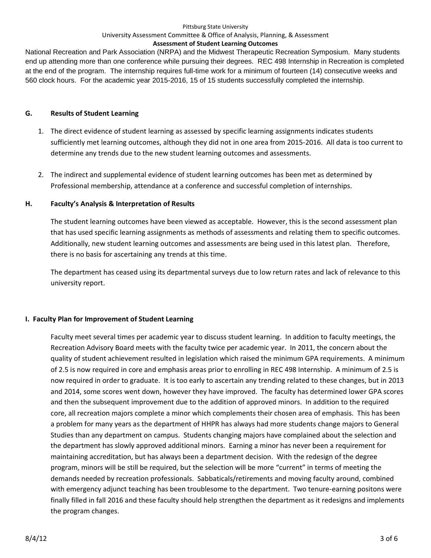#### Pittsburg State University

### University Assessment Committee & Office of Analysis, Planning, & Assessment

### **Assessment of Student Learning Outcomes**

National Recreation and Park Association (NRPA) and the Midwest Therapeutic Recreation Symposium. Many students end up attending more than one conference while pursuing their degrees. REC 498 Internship in Recreation is completed at the end of the program. The internship requires full-time work for a minimum of fourteen (14) consecutive weeks and 560 clock hours. For the academic year 2015-2016, 15 of 15 students successfully completed the internship.

# **G. Results of Student Learning**

- 1. The direct evidence of student learning as assessed by specific learning assignments indicates students sufficiently met learning outcomes, although they did not in one area from 2015-2016. All data is too current to determine any trends due to the new student learning outcomes and assessments.
- 2. The indirect and supplemental evidence of student learning outcomes has been met as determined by Professional membership, attendance at a conference and successful completion of internships.

# **H. Faculty's Analysis & Interpretation of Results**

The student learning outcomes have been viewed as acceptable. However, this is the second assessment plan that has used specific learning assignments as methods of assessments and relating them to specific outcomes. Additionally, new student learning outcomes and assessments are being used in this latest plan. Therefore, there is no basis for ascertaining any trends at this time.

The department has ceased using its departmental surveys due to low return rates and lack of relevance to this university report.

# **I. Faculty Plan for Improvement of Student Learning**

Faculty meet several times per academic year to discuss student learning. In addition to faculty meetings, the Recreation Advisory Board meets with the faculty twice per academic year. In 2011, the concern about the quality of student achievement resulted in legislation which raised the minimum GPA requirements. A minimum of 2.5 is now required in core and emphasis areas prior to enrolling in REC 498 Internship. A minimum of 2.5 is now required in order to graduate. It is too early to ascertain any trending related to these changes, but in 2013 and 2014, some scores went down, however they have improved. The faculty has determined lower GPA scores and then the subsequent improvement due to the addition of approved minors. In addition to the required core, all recreation majors complete a minor which complements their chosen area of emphasis. This has been a problem for many years as the department of HHPR has always had more students change majors to General Studies than any department on campus. Students changing majors have complained about the selection and the department has slowly approved additional minors. Earning a minor has never been a requirement for maintaining accreditation, but has always been a department decision. With the redesign of the degree program, minors will be still be required, but the selection will be more "current" in terms of meeting the demands needed by recreation professionals. Sabbaticals/retirements and moving faculty around, combined with emergency adjunct teaching has been troublesome to the department. Two tenure-earning positons were finally filled in fall 2016 and these faculty should help strengthen the department as it redesigns and implements the program changes.